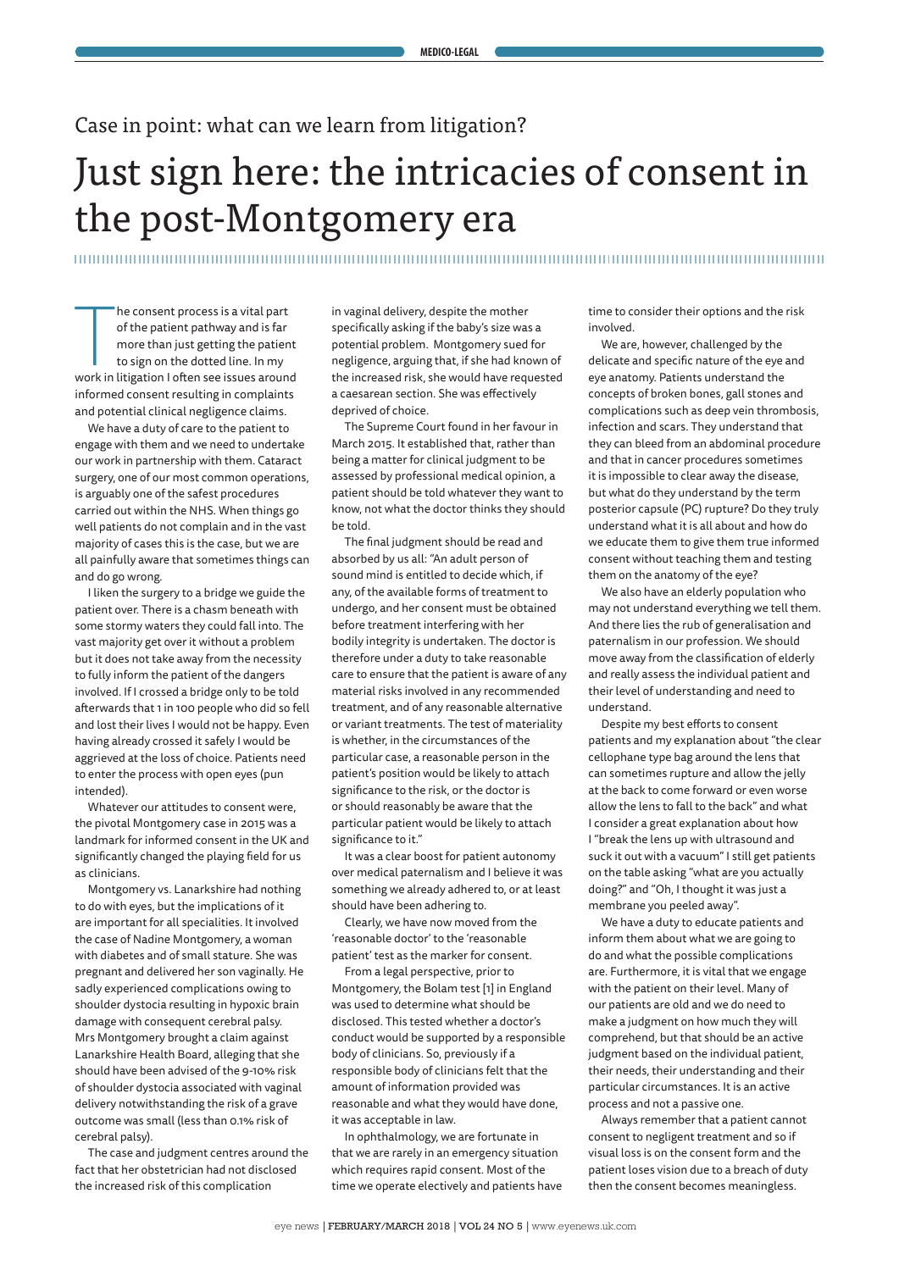## Case in point: what can we learn from litigation?

# Just sign here: the intricacies of consent in the post-Montgomery era

### 

The consent process is a vital part<br>of the patient pathway and is far<br>more than just getting the patient<br>to sign on the dotted line. In my<br>work in litigation I often see issues around he consent process is a vital part of the patient pathway and is far more than just getting the patient to sign on the dotted line. In my informed consent resulting in complaints and potential clinical negligence claims.

We have a duty of care to the patient to engage with them and we need to undertake our work in partnership with them. Cataract surgery, one of our most common operations, is arguably one of the safest procedures carried out within the NHS. When things go well patients do not complain and in the vast majority of cases this is the case, but we are all painfully aware that sometimes things can and do go wrong.

I liken the surgery to a bridge we guide the patient over. There is a chasm beneath with some stormy waters they could fall into. The vast majority get over it without a problem but it does not take away from the necessity to fully inform the patient of the dangers involved. If I crossed a bridge only to be told afterwards that 1 in 100 people who did so fell and lost their lives I would not be happy. Even having already crossed it safely I would be aggrieved at the loss of choice. Patients need to enter the process with open eyes (pun intended).

Whatever our attitudes to consent were, the pivotal Montgomery case in 2015 was a landmark for informed consent in the UK and significantly changed the playing field for us as clinicians.

Montgomery vs. Lanarkshire had nothing to do with eyes, but the implications of it are important for all specialities. It involved the case of Nadine Montgomery, a woman with diabetes and of small stature. She was pregnant and delivered her son vaginally. He sadly experienced complications owing to shoulder dystocia resulting in hypoxic brain damage with consequent cerebral palsy. Mrs Montgomery brought a claim against Lanarkshire Health Board, alleging that she should have been advised of the 9-10% risk of shoulder dystocia associated with vaginal delivery notwithstanding the risk of a grave outcome was small (less than 0.1% risk of cerebral palsy).

The case and judgment centres around the fact that her obstetrician had not disclosed the increased risk of this complication

in vaginal delivery, despite the mother specifically asking if the baby's size was a potential problem. Montgomery sued for negligence, arguing that, if she had known of the increased risk, she would have requested a caesarean section. She was effectively deprived of choice.

The Supreme Court found in her favour in March 2015. It established that, rather than being a matter for clinical judgment to be assessed by professional medical opinion, a patient should be told whatever they want to know, not what the doctor thinks they should be told.

The final judgment should be read and absorbed by us all: "An adult person of sound mind is entitled to decide which, if any, of the available forms of treatment to undergo, and her consent must be obtained before treatment interfering with her bodily integrity is undertaken. The doctor is therefore under a duty to take reasonable care to ensure that the patient is aware of any material risks involved in any recommended treatment, and of any reasonable alternative or variant treatments. The test of materiality is whether, in the circumstances of the particular case, a reasonable person in the patient's position would be likely to attach significance to the risk, or the doctor is or should reasonably be aware that the particular patient would be likely to attach significance to it."

It was a clear boost for patient autonomy over medical paternalism and I believe it was something we already adhered to, or at least should have been adhering to.

Clearly, we have now moved from the 'reasonable doctor' to the 'reasonable patient' test as the marker for consent.

From a legal perspective, prior to Montgomery, the Bolam test [1] in England was used to determine what should be disclosed. This tested whether a doctor's conduct would be supported by a responsible body of clinicians. So, previously if a responsible body of clinicians felt that the amount of information provided was reasonable and what they would have done, it was acceptable in law.

In ophthalmology, we are fortunate in that we are rarely in an emergency situation which requires rapid consent. Most of the time we operate electively and patients have time to consider their options and the risk involved.

We are, however, challenged by the delicate and specific nature of the eye and eye anatomy. Patients understand the concepts of broken bones, gall stones and complications such as deep vein thrombosis, infection and scars. They understand that they can bleed from an abdominal procedure and that in cancer procedures sometimes it is impossible to clear away the disease, but what do they understand by the term posterior capsule (PC) rupture? Do they truly understand what it is all about and how do we educate them to give them true informed consent without teaching them and testing them on the anatomy of the eye?

We also have an elderly population who may not understand everything we tell them. And there lies the rub of generalisation and paternalism in our profession. We should move away from the classification of elderly and really assess the individual patient and their level of understanding and need to understand.

Despite my best efforts to consent patients and my explanation about "the clear cellophane type bag around the lens that can sometimes rupture and allow the jelly at the back to come forward or even worse allow the lens to fall to the back" and what I consider a great explanation about how I "break the lens up with ultrasound and suck it out with a vacuum" I still get patients on the table asking "what are you actually doing?" and "Oh, I thought it was just a membrane you peeled away".

We have a duty to educate patients and inform them about what we are going to do and what the possible complications are. Furthermore, it is vital that we engage with the patient on their level. Many of our patients are old and we do need to make a judgment on how much they will comprehend, but that should be an active judgment based on the individual patient, their needs, their understanding and their particular circumstances. It is an active process and not a passive one.

Always remember that a patient cannot consent to negligent treatment and so if visual loss is on the consent form and the patient loses vision due to a breach of duty then the consent becomes meaningless.